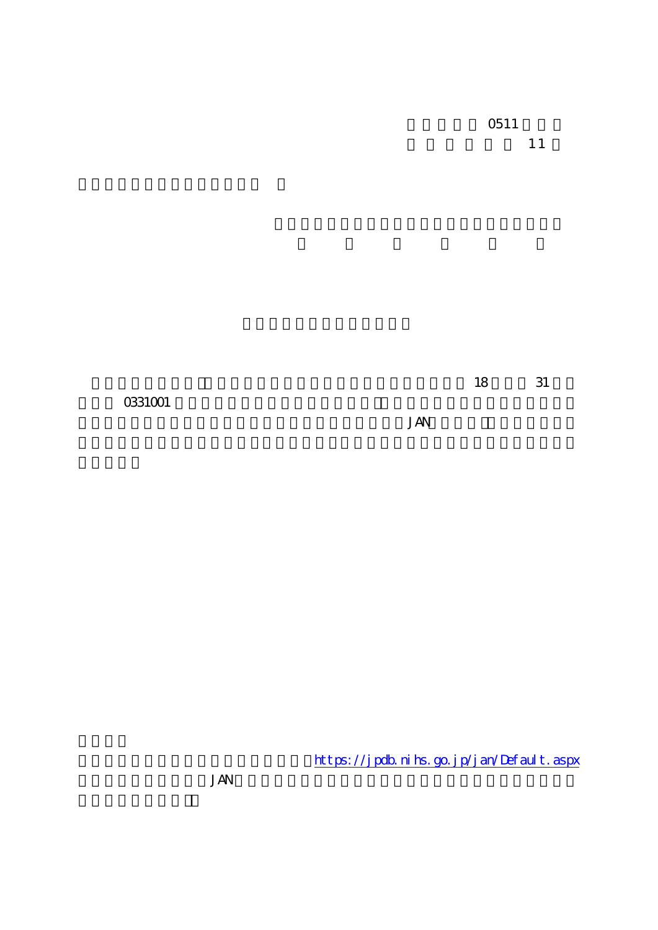**JAN** 

https://jpdb.nihs.go.jp/jan/Default.aspx

**JAN**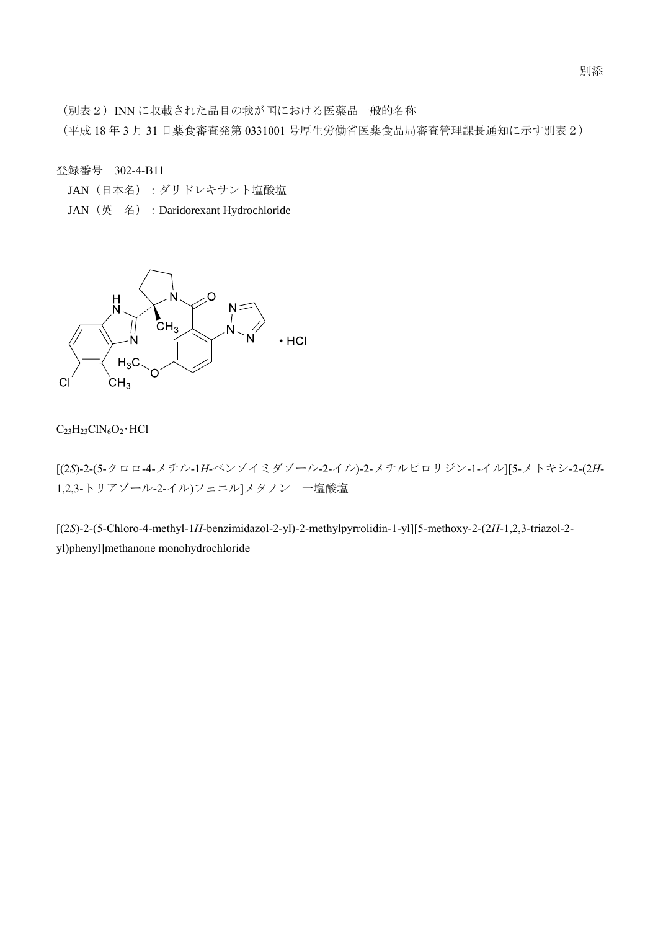(別表2) INN に収載された品目の我が国における医薬品一般的名称

(平成 18 年 3 月 31 日薬食審査発第 0331001 号厚生労働省医薬食品局審査管理課長通知に示す別表2)

登録番号 302-4-B11

- JAN (日本名):ダリドレキサント塩酸塩
- JAN (英名): Daridorexant Hydrochloride



## $C_{23}H_{23}CIN_6O_2 \cdot HCl$

[(2*S*)-2-(5-クロロ-4-メチル-1*H*-ベンゾイミダゾール-2-イル)-2-メチルピロリジン-1-イル][5-メトキシ-2-(2*H*-1,2,3-トリアゾール-2-イル)フェニル]メタノン 一塩酸塩

[(2*S*)-2-(5-Chloro-4-methyl-1*H*-benzimidazol-2-yl)-2-methylpyrrolidin-1-yl][5-methoxy-2-(2*H*-1,2,3-triazol-2 yl)phenyl]methanone monohydrochloride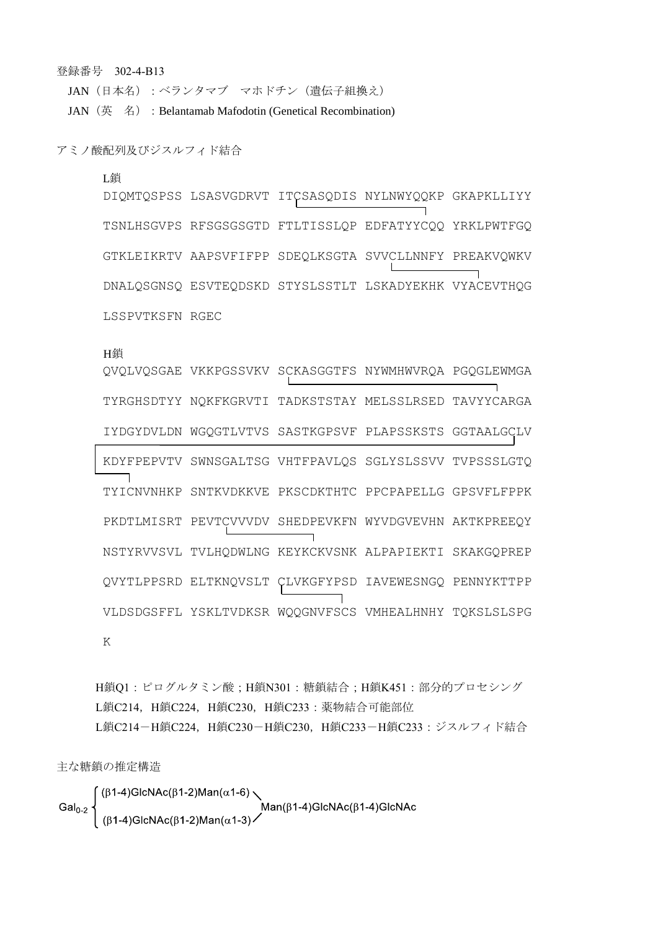登録番号 302-4-B13

JAN (日本名):ベランタマブ マホドチン (遺伝子組換え) JAN (英名): Belantamab Mafodotin (Genetical Recombination)

アミノ酸配列及びジスルフィド結合

## L鎖

DIQMTQSPSS LSASVGDRVT ITCSASQDIS NYLNWYQQKP GKAPKLLIYY TSNLHSGVPS RFSGSGSGTD FTLTISSLQP EDFATYYCQQ YRKLPWTFGQ GTKLEIKRTV AAPSVFIFPP SDEQLKSGTA SVVCLLNNFY PREAKVQWKV DNALQSGNSQ ESVTEQDSKD STYSLSSTLT LSKADYEKHK VYACEVTHQG LSSPVTKSFN RGEC

## H鎖

QVQLVQSGAE VKKPGSSVKV SCKASGGTFS NYWMHWVRQA PGQGLEWMGA TYRGHSDTYY NQKFKGRVTI TADKSTSTAY MELSSLRSED TAVYYCARGA IYDGYDVLDN WGQGTLVTVS SASTKGPSVF PLAPSSKSTS GGTAALGCLV KDYFPEPVTV SWNSGALTSG VHTFPAVLQS SGLYSLSSVV TVPSSSLGTQ TYICNVNHKP SNTKVDKKVE PKSCDKTHTC PPCPAPELLG GPSVFLFPPK PKDTLMISRT PEVTCVVVDV SHEDPEVKFN WYVDGVEVHN AKTKPREEQY NSTYRVVSVL TVLHQDWLNG KEYKCKVSNK ALPAPIEKTI SKAKGQPREP QVYTLPPSRD ELTKNQVSLT CLVKGFYPSD IAVEWESNGQ PENNYKTTPP VLDSDGSFFL YSKLTVDKSR WQQGNVFSCS VMHEALHNHY TQKSLSLSPG K

H鎖Q1:ピログルタミン酸;H鎖N301:糖鎖結合;H鎖K451:部分的プロセシング L鎖C214, H鎖C224, H鎖C230, H鎖C233: 薬物結合可能部位 L鎖C214-H鎖C224, H鎖C230-H鎖C230, H鎖C233-H鎖C233: ジスルフィド結合

主な糖鎖の推定構造

$$
\text{Gal}_{0\text{-}2}\left\{\begin{array}{l}(\beta 1\text{-}4)\text{GlcNAc}(\beta 1\text{-}2)\text{Man}(\alpha 1\text{-}6)\\ \text{Man}(\beta 1\text{-}4)\text{GlcNAc}(\beta 1\text{-}4)\text{GlcNAc}\\\ (\beta 1\text{-}4)\text{GlcNAc}(\beta 1\text{-}2)\text{Man}(\alpha 1\text{-}3)\end{array}\right.\text{Man}(\beta 1\text{-}4)\text{GlcNAc}(\beta 1\text{-}4)\text{GlcNAc}
$$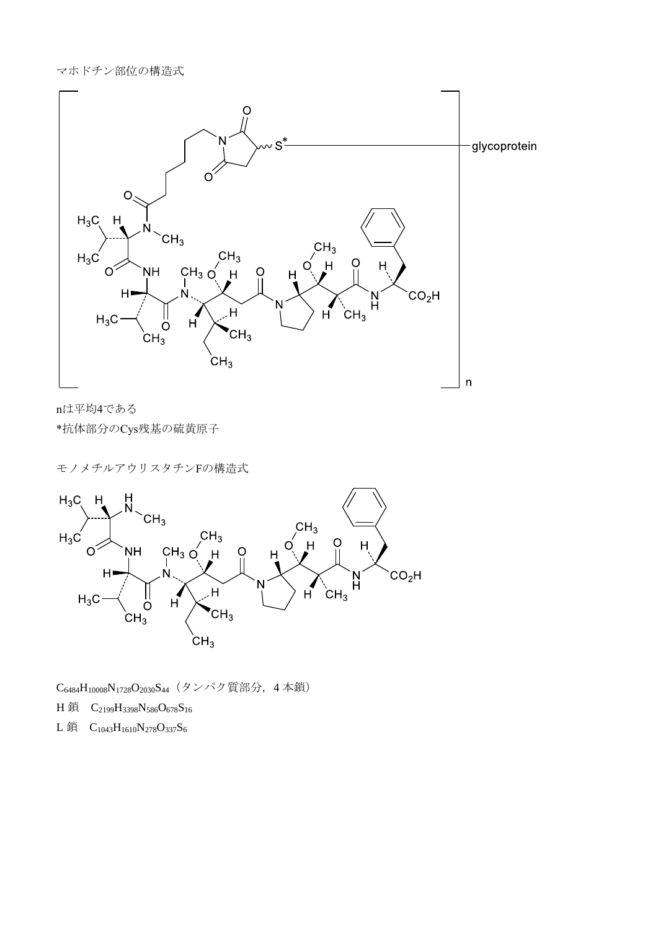

nは平均4である \*抗体部分のCys残基の硫黄原子

モノメチルアウリスタチンFの構造式



C6484H10008N1728O2030S44(タンパク質部分,4 本鎖)

H 鎖  $C_{2199}H_{3398}N_{586}O_{678}S_{16}$ 

L鎖  $C_{1043}H_{1610}N_{278}O_{337}S_6$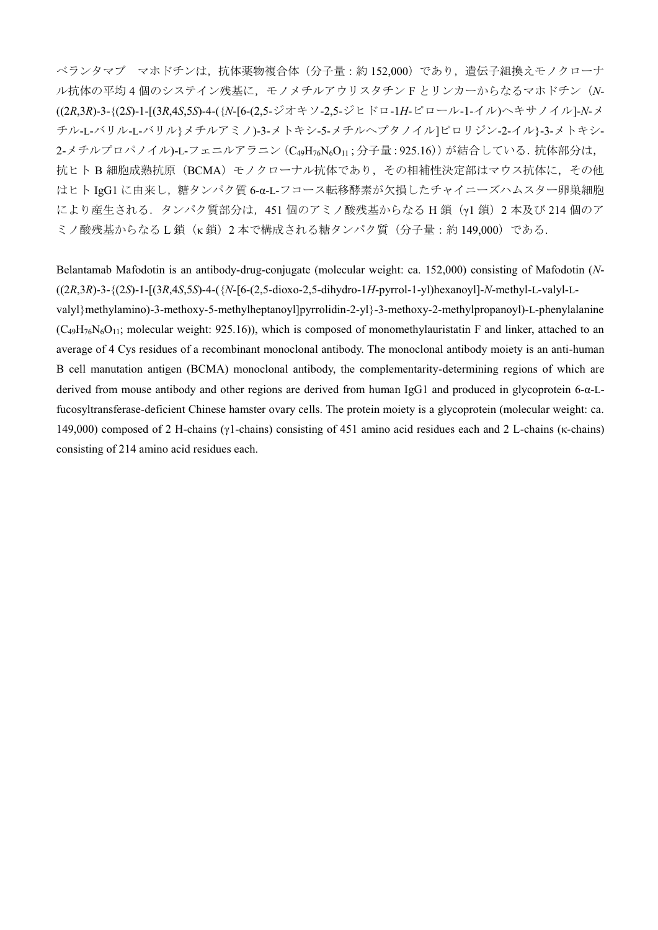ベランタマブ マホドチンは,抗体薬物複合体(分子量:約 152,000)であり,遺伝子組換えモノクローナ ル抗体の平均 4 個のシステイン残基に,モノメチルアウリスタチン F とリンカーからなるマホドチン(*N*- ((2*R*,3*R*)-3-{(2*S*)-1-[(3*R*,4*S*,5*S*)-4-({*N*-[6-(2,5-ジオキソ-2,5-ジヒドロ-1*H*-ピロール-1-イル)ヘキサノイル]-*N*-メ チル-L-バリル-L-バリル}メチルアミノ)-3-メトキシ-5-メチルヘプタノイル]ピロリジン-2-イル}-3-メトキシ-2-メチルプロパノイル)-L-フェニルアラニン (C49H76N6O11; 分子量: 925.16)) が結合している. 抗体部分は, 抗ヒト B 細胞成熟抗原 (BCMA) モノクローナル抗体であり、その相補性決定部はマウス抗体に、その他 はヒト IgG1 に由来し,糖タンパク質 6-α-L-フコース転移酵素が欠損したチャイニーズハムスター卵巣細胞 により産生される. タンパク質部分は、451 個のアミノ酸残基からなる H 鎖 (γ1 鎖) 2 本及び 214 個のア ミノ酸残基からなるL鎖(κ鎖)2本で構成される糖タンパク質(分子量:約149,000)である.

Belantamab Mafodotin is an antibody-drug-conjugate (molecular weight: ca. 152,000) consisting of Mafodotin (*N*- ((2*R*,3*R*)-3-{(2*S*)-1-[(3*R*,4*S*,5*S*)-4-({*N*-[6-(2,5-dioxo-2,5-dihydro-1*H*-pyrrol-1-yl)hexanoyl]-*N*-methyl-L-valyl-Lvalyl}methylamino)-3-methoxy-5-methylheptanoyl]pyrrolidin-2-yl}-3-methoxy-2-methylpropanoyl)-L-phenylalanine  $(C_{49}H_{76}N_6O_{11}$ ; molecular weight: 925.16), which is composed of monomethylauristatin F and linker, attached to an average of 4 Cys residues of a recombinant monoclonal antibody. The monoclonal antibody moiety is an anti-human B cell manutation antigen (BCMA) monoclonal antibody, the complementarity-determining regions of which are derived from mouse antibody and other regions are derived from human IgG1 and produced in glycoprotein 6-α-Lfucosyltransferase-deficient Chinese hamster ovary cells. The protein moiety is a glycoprotein (molecular weight: ca. 149,000) composed of 2 H-chains (γ1-chains) consisting of 451 amino acid residues each and 2 L-chains (κ-chains) consisting of 214 amino acid residues each.